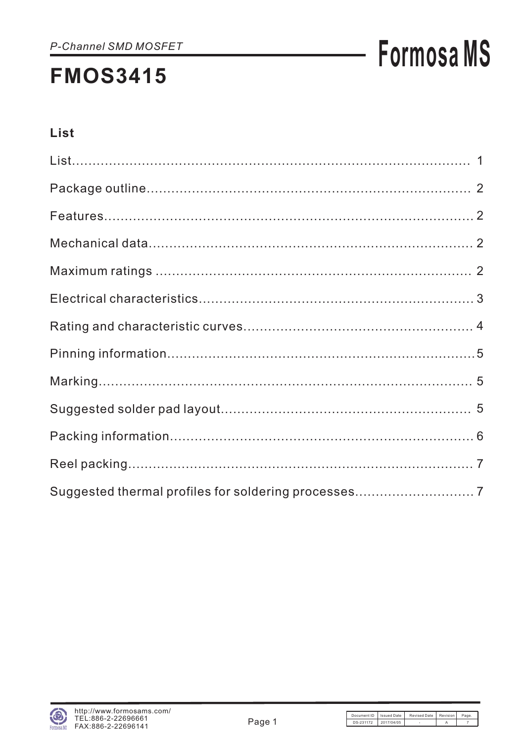# **Formosa MS**

### **List**

| Suggested thermal profiles for soldering processes 7 |  |
|------------------------------------------------------|--|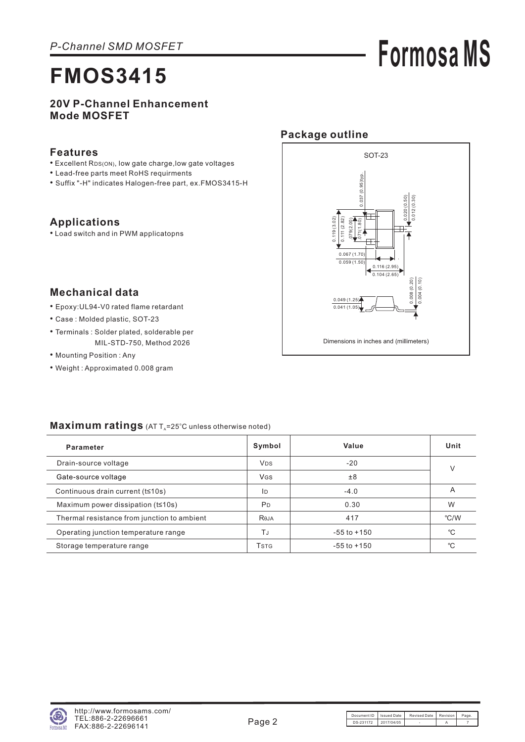# **Formosa MS**

#### **20V P-Channel Enhancement Mode MOSFET**

#### **Features**

- Excellent RDS(ON), low gate charge, low gate voltages
- Lead-free parts meet RoHS requirments
- Suffix "-H" indicates Halogen-free part, ex.FMOS3415-H

### **Applications**

• Load switch and in PWM applicatopns



#### **Mechanical data**

- Epoxy:UL94-V0 rated flame retardant
- Case : Molded plastic, SOT-23
- Terminals : Solder plated, solderable per MIL-STD-750, Method 2026
- Mounting Position : Any
- Weight : Approximated 0.008 gram

| Parameter                                   | Symbol                | Value           | Unit |
|---------------------------------------------|-----------------------|-----------------|------|
| Drain-source voltage                        | <b>V<sub>DS</sub></b> | $-20$           | V    |
| Gate-source voltage                         | <b>V<sub>GS</sub></b> | ±8              |      |
| Continuous drain current (t≤10s)            | ID                    | $-4.0$          | Α    |
| Maximum power dissipation $(t \leq 10s)$    | <b>P</b> <sub>D</sub> | 0.30            | W    |
| Thermal resistance from junction to ambient | Reja                  | 417             | °C/W |
| Operating junction temperature range        | ТJ                    | $-55$ to $+150$ | °C   |
| Storage temperature range                   | <b>T</b> stg          | $-55$ to $+150$ | °C   |

#### Maximum ratings (AT T<sub>A</sub>=25°C unless otherwise noted)

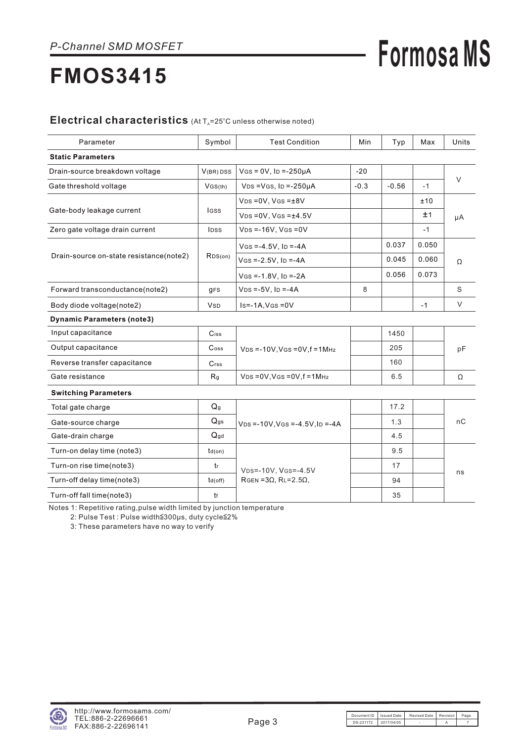# **Formosa MS**

## **FMOS3415**

#### Electrical characteristics (At T<sub>A</sub>=25°C unless otherwise noted)

| Parameter                               | Symbol                                               | <b>Test Condition</b>                     | Min    | Typ     | Max   | Units  |  |
|-----------------------------------------|------------------------------------------------------|-------------------------------------------|--------|---------|-------|--------|--|
| <b>Static Parameters</b>                |                                                      |                                           |        |         |       |        |  |
| Drain-source breakdown voltage          | $V(BR)$ DSS                                          | $V$ GS = 0V, ID = -250µA                  | $-20$  |         |       |        |  |
| Gate threshold voltage                  | VGS(th)                                              | $VDS = VGS$ , $ID = -250\mu A$            | $-0.3$ | $-0.56$ | $-1$  | $\vee$ |  |
|                                         |                                                      | $VDS = OV, VGS = ±8V$                     |        |         | ±10   |        |  |
| Gate-body leakage current               | <b>IGSS</b>                                          | $VDS = OV, VGS = ±4.5V$                   |        |         | ±1    | μA     |  |
| Zero gate voltage drain current         | <b>IDSS</b>                                          | $VDS = -16V$ , $VGS = 0V$                 |        |         | $-1$  |        |  |
|                                         |                                                      | $V$ GS =-4.5V, ID =-4A                    |        | 0.037   | 0.050 | Ω      |  |
| Drain-source on-state resistance(note2) | RDS(on)                                              | $V$ GS =-2.5V, ID =-4A                    |        | 0.045   | 0.060 |        |  |
|                                         |                                                      | $V$ GS = -1.8V, ID = -2A                  |        | 0.056   | 0.073 |        |  |
| Forward transconductance(note2)         | <b>gFS</b>                                           | $VDS = -5V$ , $ID = -4A$                  | 8      |         |       | S      |  |
| Body diode voltage(note2)               | $Is = -1A$ , $V$ $(s = 0V)$<br><b>V<sub>SD</sub></b> |                                           |        |         | $-1$  | $\vee$ |  |
| <b>Dynamic Parameters (note3)</b>       |                                                      |                                           |        |         |       |        |  |
| Input capacitance                       | $C$ iss                                              |                                           |        | 1450    |       |        |  |
| Output capacitance                      | $\mathsf{Coss}$                                      | $VDS = -10V$ , $VGS = 0V$ , $f = 1MHz$    |        | 205     |       | pF     |  |
| Reverse transfer capacitance            | $C$ rss                                              |                                           |        | 160     |       |        |  |
| Gate resistance                         | R <sub>g</sub>                                       | $VDS = OV, VGS = OV, f = 1MHz$            |        | 6.5     |       | Ω      |  |
| <b>Switching Parameters</b>             |                                                      |                                           |        |         |       |        |  |
| Total gate charge                       | Q <sub>g</sub>                                       |                                           |        | 17.2    |       |        |  |
| Gate-source charge                      | $Q_{gs}$                                             | $VDS = -10V$ , $VGS = -4.5V$ , $ID = -4A$ |        | 1.3     |       | пC     |  |
| Gate-drain charge                       | $Q_{qd}$                                             |                                           |        | 4.5     |       |        |  |
| Turn-on delay time (note3)              | $td($ on $)$                                         |                                           |        | 9.5     |       |        |  |
| Turn-on rise time(note3)                | tr                                                   | VDS=-10V, VGS=-4.5V                       |        | 17      |       | ns     |  |
| Turn-off delay time(note3)              | $td($ off $)$                                        | $RGEN = 3\Omega$ , $RL = 2.5\Omega$ ,     |        | 94      |       |        |  |
| Turn-off fall time(note3)               | tf                                                   |                                           |        | 35      |       |        |  |

Notes 1: Repetitive rating, pulse width limited by junction temperature

2: Pulse Test : Pulse width≦300μs, duty cycle≦2%

3: These parameters have no way to verify

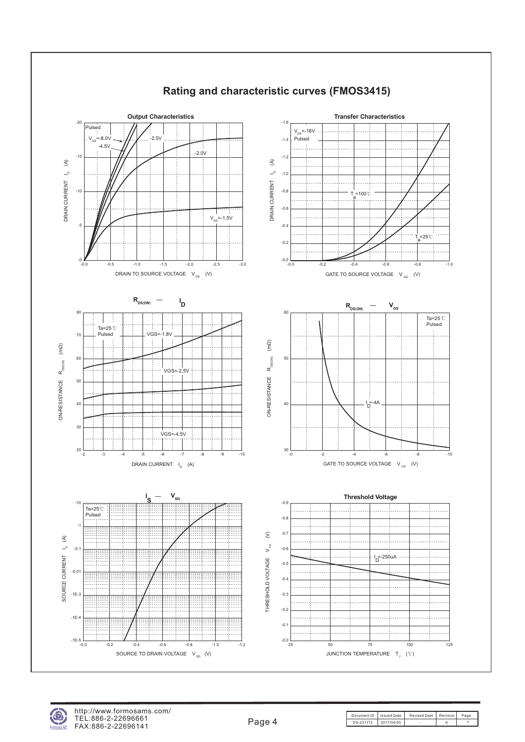

### **Rating and characteristic curves (FMOS3415)**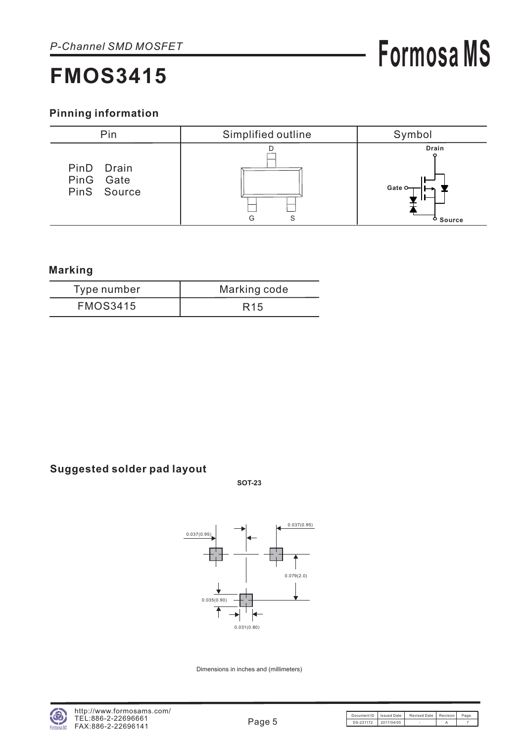# **Formosa MS**

### **Pinning information**



#### **Marking**

| Type number     | Marking code    |
|-----------------|-----------------|
| <b>FMOS3415</b> | R <sub>15</sub> |

### **Suggested solder pad layout**

**SOT-23**



Dimensions in inches and (millimeters)

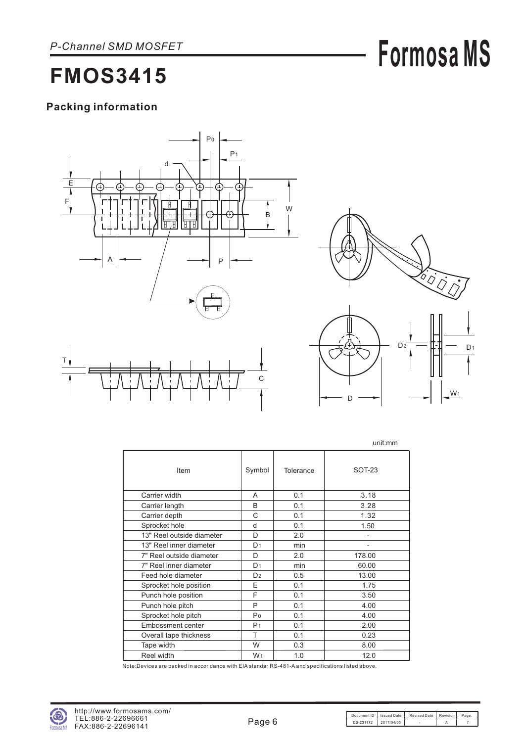# **Formosa MS**

## **FMOS3415**

### **Packing information**





W<sub>1</sub>

D

|                           |                |           | unit:mm |
|---------------------------|----------------|-----------|---------|
| Item                      | Symbol         | Tolerance | SOT-23  |
| Carrier width             | A              | 0.1       | 3.18    |
| Carrier length            | B              | 0.1       | 3.28    |
| Carrier depth             | C              | 0.1       | 1.32    |
| Sprocket hole             | d              | 0.1       | 1.50    |
| 13" Reel outside diameter | D              | 2.0       | -       |
| 13" Reel inner diameter   | D <sub>1</sub> | min       |         |
| 7" Reel outside diameter  | D              | 2.0       | 178.00  |
| 7" Reel inner diameter    | D <sub>1</sub> | min       | 60.00   |
| Feed hole diameter        | D <sub>2</sub> | 0.5       | 13.00   |
| Sprocket hole position    | E              | 0.1       | 1.75    |
| Punch hole position       | F              | 0.1       | 3.50    |
| Punch hole pitch          | P              | 0.1       | 4.00    |
| Sprocket hole pitch       | Po             | 0.1       | 4.00    |
| <b>Embossment center</b>  | P <sub>1</sub> | 0.1       | 2.00    |
| Overall tape thickness    | т              | 0.1       | 0.23    |
| Tape width                | W              | 0.3       | 8.00    |
| Reel width                | W <sub>1</sub> | 1.0       | 12.0    |

Note:Devices are packed in accor dance with EIA standar RS-481-A and specifications listed above.